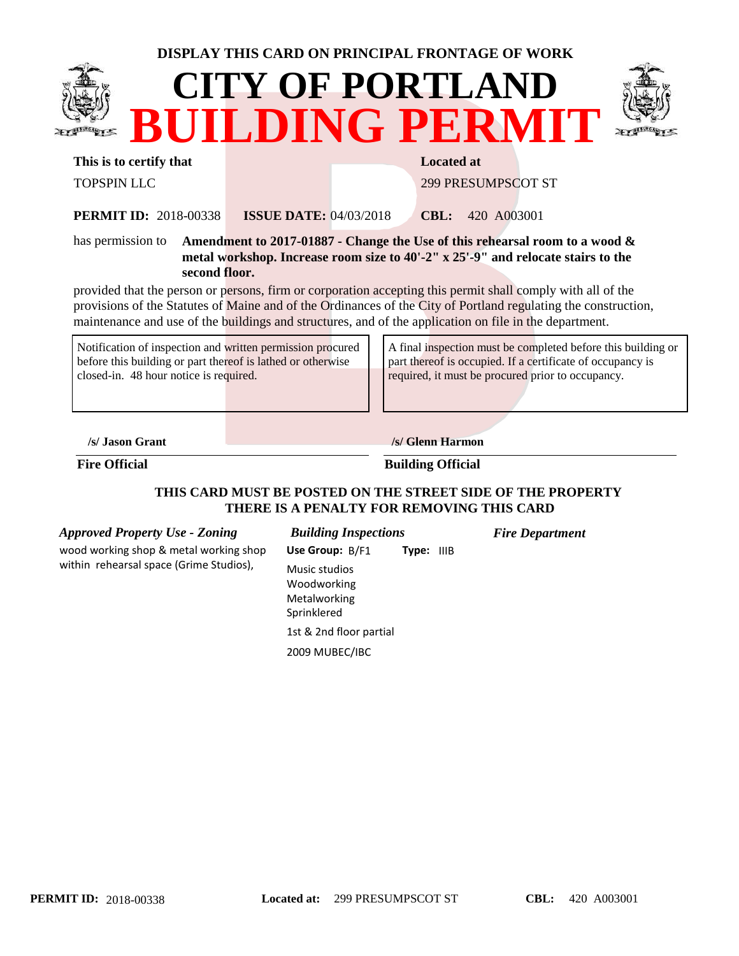| DISPLAY THIS CARD ON PRINCIPAL FRONTAGE OF WORK                                        |                                                                                |  |                           |  |  |  |  |  |
|----------------------------------------------------------------------------------------|--------------------------------------------------------------------------------|--|---------------------------|--|--|--|--|--|
|                                                                                        | <b>CITY OF PORTLAND</b><br>BUILDING PERMIT                                     |  |                           |  |  |  |  |  |
| This is to certify that                                                                |                                                                                |  | <b>Located at</b>         |  |  |  |  |  |
| <b>TOPSPIN LLC</b>                                                                     |                                                                                |  | <b>299 PRESUMPSCOT ST</b> |  |  |  |  |  |
| <b>PERMIT ID: 2018-00338</b>                                                           | <b>ISSUE DATE: 04/03/2018</b>                                                  |  | 420 A003001<br>CBL:       |  |  |  |  |  |
| has permission to                                                                      | Amendment to 2017-01887 - Change the Use of this rehearsal room to a wood $\&$ |  |                           |  |  |  |  |  |
| metal workshop. Increase room size to $40'$ -2" x $25'$ -9" and relocate stairs to the |                                                                                |  |                           |  |  |  |  |  |
| second floor.                                                                          |                                                                                |  |                           |  |  |  |  |  |

provided that the person or persons, firm or corporation accepting this permit shall comply with all of the provisions of the Statutes of Maine and of the Ordinances of the City of Portland regulating the construction, maintenance and use of the buildings and structures, and of the application on file in the department.

| Notification of inspection and written permission procured  |
|-------------------------------------------------------------|
| before this building or part thereof is lathed or otherwise |
| closed-in. 48 hour notice is required.                      |

A final inspection must be completed before this building or part thereof is occupied. If a certificate of occupancy is required, it must be procured prior to occupancy.

**/s/ Jason Grant /s/ Glenn Harmon**

#### **Fire Official Building Official**

### **THIS CARD MUST BE POSTED ON THE STREET SIDE OF THE PROPERTY THERE IS A PENALTY FOR REMOVING THIS CARD**

*Approved Property Use - Zoning Building Inspections Fire Department* wood working shop & metal working shop within rehearsal space (Grime Studios),

| <b>Building Inspections</b> |  |                   |  |  |  |
|-----------------------------|--|-------------------|--|--|--|
| Use Group: B/F1             |  | <b>Type: IIIB</b> |  |  |  |

Music studios Woodworking Metalworking Sprinklered

2009 MUBEC/IBC 1st & 2nd floor partial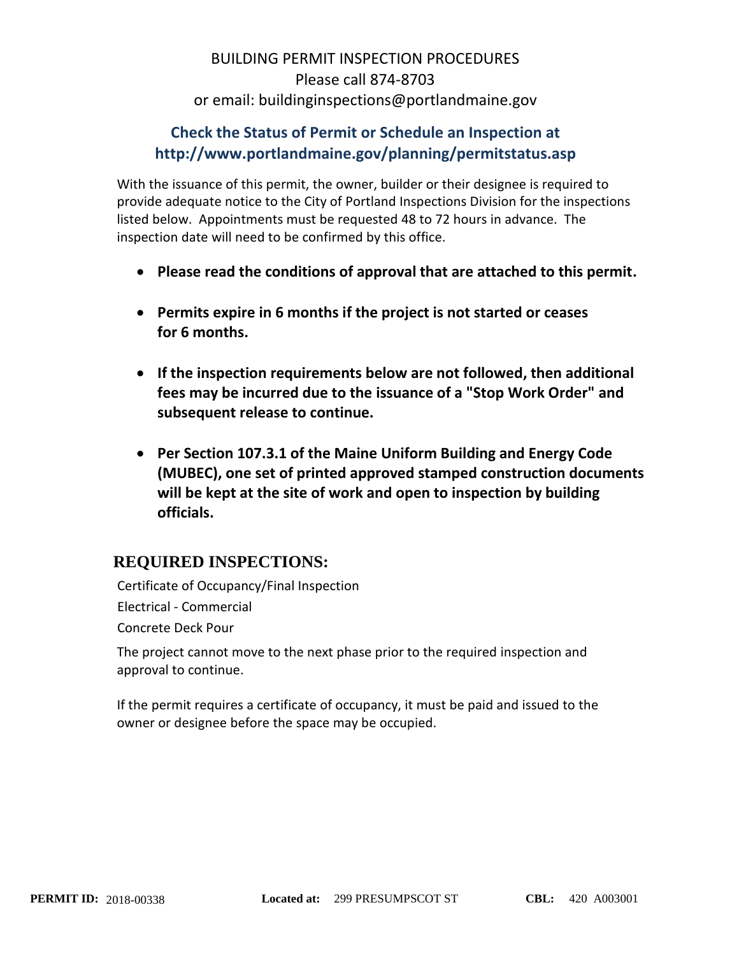# BUILDING PERMIT INSPECTION PROCEDURES Please call 874-8703 or email: buildinginspections@portlandmaine.gov

## **Check the Status of Permit or Schedule an Inspection at http://www.portlandmaine.gov/planning/permitstatus.asp**

With the issuance of this permit, the owner, builder or their designee is required to provide adequate notice to the City of Portland Inspections Division for the inspections listed below. Appointments must be requested 48 to 72 hours in advance. The inspection date will need to be confirmed by this office.

- **Please read the conditions of approval that are attached to this permit.**
- **Permits expire in 6 months if the project is not started or ceases for 6 months.**
- **If the inspection requirements below are not followed, then additional fees may be incurred due to the issuance of a "Stop Work Order" and subsequent release to continue.**
- **Per Section 107.3.1 of the Maine Uniform Building and Energy Code (MUBEC), one set of printed approved stamped construction documents will be kept at the site of work and open to inspection by building officials.**

# **REQUIRED INSPECTIONS:**

Certificate of Occupancy/Final Inspection Electrical - Commercial Concrete Deck Pour

The project cannot move to the next phase prior to the required inspection and approval to continue.

If the permit requires a certificate of occupancy, it must be paid and issued to the owner or designee before the space may be occupied.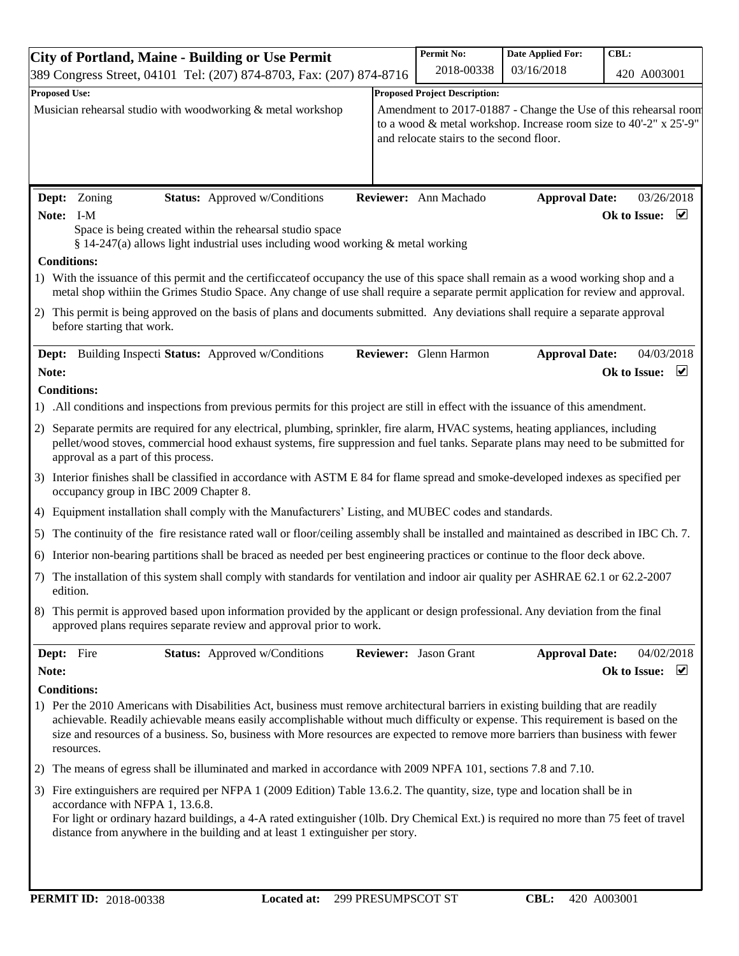| <b>City of Portland, Maine - Building or Use Permit</b>                                                                                                                                                                                                                                                                                                                                                                 |  | <b>Permit No:</b>                                               | <b>Date Applied For:</b> | CBL:                                    |  |  |
|-------------------------------------------------------------------------------------------------------------------------------------------------------------------------------------------------------------------------------------------------------------------------------------------------------------------------------------------------------------------------------------------------------------------------|--|-----------------------------------------------------------------|--------------------------|-----------------------------------------|--|--|
| 389 Congress Street, 04101 Tel: (207) 874-8703, Fax: (207) 874-8716                                                                                                                                                                                                                                                                                                                                                     |  | 2018-00338                                                      | 03/16/2018               | 420 A003001                             |  |  |
| <b>Proposed Use:</b>                                                                                                                                                                                                                                                                                                                                                                                                    |  | <b>Proposed Project Description:</b>                            |                          |                                         |  |  |
| Musician rehearsal studio with woodworking & metal workshop                                                                                                                                                                                                                                                                                                                                                             |  | Amendment to 2017-01887 - Change the Use of this rehearsal room |                          |                                         |  |  |
| to a wood & metal workshop. Increase room size to 40'-2" x 25'-9"                                                                                                                                                                                                                                                                                                                                                       |  |                                                                 |                          |                                         |  |  |
|                                                                                                                                                                                                                                                                                                                                                                                                                         |  | and relocate stairs to the second floor.                        |                          |                                         |  |  |
|                                                                                                                                                                                                                                                                                                                                                                                                                         |  |                                                                 |                          |                                         |  |  |
|                                                                                                                                                                                                                                                                                                                                                                                                                         |  |                                                                 |                          |                                         |  |  |
| <b>Status:</b> Approved w/Conditions<br>Dept: Zoning                                                                                                                                                                                                                                                                                                                                                                    |  | Reviewer: Ann Machado                                           | <b>Approval Date:</b>    | 03/26/2018                              |  |  |
| Note: I-M                                                                                                                                                                                                                                                                                                                                                                                                               |  |                                                                 |                          | $\overline{\mathbf{v}}$<br>Ok to Issue: |  |  |
| Space is being created within the rehearsal studio space<br>§ 14-247(a) allows light industrial uses including wood working $\&$ metal working                                                                                                                                                                                                                                                                          |  |                                                                 |                          |                                         |  |  |
| <b>Conditions:</b>                                                                                                                                                                                                                                                                                                                                                                                                      |  |                                                                 |                          |                                         |  |  |
| 1) With the issuance of this permit and the certificcate of occupancy the use of this space shall remain as a wood working shop and a<br>metal shop withiin the Grimes Studio Space. Any change of use shall require a separate permit application for review and approval.                                                                                                                                             |  |                                                                 |                          |                                         |  |  |
| 2) This permit is being approved on the basis of plans and documents submitted. Any deviations shall require a separate approval                                                                                                                                                                                                                                                                                        |  |                                                                 |                          |                                         |  |  |
| before starting that work.                                                                                                                                                                                                                                                                                                                                                                                              |  |                                                                 |                          |                                         |  |  |
| <b>Dept:</b> Building Inspecti Status: Approved w/Conditions                                                                                                                                                                                                                                                                                                                                                            |  | Reviewer: Glenn Harmon                                          | <b>Approval Date:</b>    | 04/03/2018                              |  |  |
| Note:                                                                                                                                                                                                                                                                                                                                                                                                                   |  |                                                                 |                          | $\blacktriangledown$<br>Ok to Issue:    |  |  |
| <b>Conditions:</b>                                                                                                                                                                                                                                                                                                                                                                                                      |  |                                                                 |                          |                                         |  |  |
| 1) All conditions and inspections from previous permits for this project are still in effect with the issuance of this amendment.                                                                                                                                                                                                                                                                                       |  |                                                                 |                          |                                         |  |  |
| Separate permits are required for any electrical, plumbing, sprinkler, fire alarm, HVAC systems, heating appliances, including<br>2)<br>pellet/wood stoves, commercial hood exhaust systems, fire suppression and fuel tanks. Separate plans may need to be submitted for<br>approval as a part of this process.                                                                                                        |  |                                                                 |                          |                                         |  |  |
| 3) Interior finishes shall be classified in accordance with ASTM E 84 for flame spread and smoke-developed indexes as specified per<br>occupancy group in IBC 2009 Chapter 8.                                                                                                                                                                                                                                           |  |                                                                 |                          |                                         |  |  |
| 4) Equipment installation shall comply with the Manufacturers' Listing, and MUBEC codes and standards.                                                                                                                                                                                                                                                                                                                  |  |                                                                 |                          |                                         |  |  |
| 5) The continuity of the fire resistance rated wall or floor/ceiling assembly shall be installed and maintained as described in IBC Ch. 7.                                                                                                                                                                                                                                                                              |  |                                                                 |                          |                                         |  |  |
| 6) Interior non-bearing partitions shall be braced as needed per best engineering practices or continue to the floor deck above.                                                                                                                                                                                                                                                                                        |  |                                                                 |                          |                                         |  |  |
| 7) The installation of this system shall comply with standards for ventilation and indoor air quality per ASHRAE 62.1 or 62.2-2007                                                                                                                                                                                                                                                                                      |  |                                                                 |                          |                                         |  |  |
| edition.                                                                                                                                                                                                                                                                                                                                                                                                                |  |                                                                 |                          |                                         |  |  |
| This permit is approved based upon information provided by the applicant or design professional. Any deviation from the final<br>8)<br>approved plans requires separate review and approval prior to work.                                                                                                                                                                                                              |  |                                                                 |                          |                                         |  |  |
| Dept: Fire<br><b>Status:</b> Approved w/Conditions                                                                                                                                                                                                                                                                                                                                                                      |  | Reviewer: Jason Grant                                           | <b>Approval Date:</b>    | 04/02/2018                              |  |  |
| Note:                                                                                                                                                                                                                                                                                                                                                                                                                   |  |                                                                 |                          | $\blacktriangledown$<br>Ok to Issue:    |  |  |
| <b>Conditions:</b>                                                                                                                                                                                                                                                                                                                                                                                                      |  |                                                                 |                          |                                         |  |  |
| 1) Per the 2010 Americans with Disabilities Act, business must remove architectural barriers in existing building that are readily<br>achievable. Readily achievable means easily accomplishable without much difficulty or expense. This requirement is based on the<br>size and resources of a business. So, business with More resources are expected to remove more barriers than business with fewer<br>resources. |  |                                                                 |                          |                                         |  |  |
| The means of egress shall be illuminated and marked in accordance with 2009 NPFA 101, sections 7.8 and 7.10.<br>2)                                                                                                                                                                                                                                                                                                      |  |                                                                 |                          |                                         |  |  |
| 3) Fire extinguishers are required per NFPA 1 (2009 Edition) Table 13.6.2. The quantity, size, type and location shall be in                                                                                                                                                                                                                                                                                            |  |                                                                 |                          |                                         |  |  |
| accordance with NFPA 1, 13.6.8.<br>For light or ordinary hazard buildings, a 4-A rated extinguisher (10lb. Dry Chemical Ext.) is required no more than 75 feet of travel<br>distance from anywhere in the building and at least 1 extinguisher per story.                                                                                                                                                               |  |                                                                 |                          |                                         |  |  |
|                                                                                                                                                                                                                                                                                                                                                                                                                         |  |                                                                 |                          |                                         |  |  |